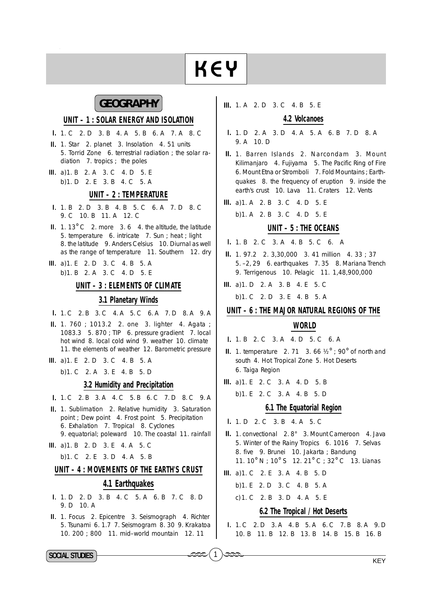# **KEY**

## **GEOGRAPHY**

#### UNIT - 1 : SOLAR ENERGY AND ISOLATION

- I. 1. C 2. D 3. B 4. A 5. B 6. A 7. A 8. C
- II. 1. Star 2. planet 3. Insolation 4. 51 units 5. Torrid Zone 6. terrestrial radiation; the solar radiation 7. tropics; the poles
- III. a) 1. B 2. A 3. C 4. D 5. E b) 1. D 2. E 3. B 4. C 5. A

#### UNIT - 2 : TEMPERATURE

- I. 1. B 2. D 3. B 4. B 5. C 6. A 7. D 8. C 9. C 10. B 11. A 12. C
- $II. 1.13^{\circ}$  C 2. more 3.6 4. the altitude, the latitude 5. temperature 6. intricate 7. Sun ; heat ; light 8. the latitude 9. Anders Celsius 10. Diurnal as well as the range of temperature 11. Southern 12. dry
- III. a) 1. E 2. D 3. C 4. B 5. A b) 1. B 2. A 3. C 4. D 5. E

#### UNIT - 3 : ELEMENTS OF CLIMATE

#### 3.1 Planetary Winds

- I. 1. C 2. B 3. C 4. A 5. C 6. A 7. D 8. A 9. A
- II. 1. 760 ; 1013.2 2. one 3. lighter 4. Agata ; 1083.3 5.870; TIP 6. pressure gradient 7. local hot wind 8. local cold wind 9. weather 10. climate 11. the elements of weather 12. Barometric pressure
- III. a) 1. E 2. D 3. C 4. B 5. A

b) 1. C 2. A 3. E 4. B 5. D

#### 3.2 Humidity and Precipitation

- I. 1. C 2. B 3. A 4. C 5. B 6. C 7. D 8. C 9. A
- II. 1. Sublimation 2. Relative humidity 3. Saturation point ; Dew point 4. Frost point 5. Precipitation 6. Exhalation 7. Tropical 8. Cyclones 9. equatorial; poleward 10. The coastal 11. rainfall
- III. a) 1. B 2. D 3. E 4. A 5. C
	- b) 1. C 2. E 3. D 4. A 5. B

#### UNIT - 4 : MOVEMENTS OF THE EARTH'S CRUST

#### 4.1 Earthquakes

- I. 1. D 2. D 3. B 4. C 5. A 6. B 7. C 8. D 9. D 10. A
- II. 1. Focus 2. Epicentre 3. Seismograph 4. Richter 5. Tsunami 6. 1.7 7. Seismogram 8. 30 9. Krakatoa 10. 200 ; 800 11. mid-world mountain 12. 11

III. 1. A 2. D 3. C 4. B 5. E

#### 4.2 Volcanoes

- 1. 1. D 2. A 3. D 4. A 5. A 6. B 7. D 8. A 9. A 10. D
- II. 1. Barren Islands 2. Narcondam 3. Mount Kilimanjaro 4. Fujiyama 5. The Pacific Ring of Fire 6. Mount Etna or Stromboli 7. Fold Mountains ; Earthquakes 8. the frequency of eruption 9. inside the earth's crust 10. Lava 11. Craters 12. Vents
- III. a) 1. A 2. B 3. C 4. D 5. E
- b) 1. A 2. B 3. C 4. D 5. E

#### UNIT - 5 : THE OCEANS

- I. 1. B 2. C 3. A 4. B 5. C 6. A
- II. 1. 97.2 2. 3,30,000 3. 41 million 4. 33 ; 37 5. -2, 29 6. earthquakes 7.35 8. Mariana Trench 9. Terrigenous 10. Pelagic 11. 1,48,900,000
- III. a) 1. D 2. A 3. B 4. E 5. C
	- b) 1. C 2. D 3. E 4. B 5. A

#### UNIT - 6 : THE MAJOR NATURAL REGIONS OF THE

#### **WORLD**

- 1. 1. R 2. C 3. A 4. D 5. C 6. A
- **II.** 1. temperature 2. 71 3. 66  $\frac{1}{2}$  , 90° of north and south 4. Hot Tropical Zone 5. Hot Deserts 6. Taiga Region
- III. a) 1. E 2. C 3. A 4. D 5. B
	- b) 1. E 2. C 3. A 4. B 5. D

#### 6.1 The Equatorial Region

- I. 1. D. 2. C. 3. B. 4. A. 5. C.
- II. 1. convectional 2.8° 3. Mount Cameroon 4. Java 5. Winter of the Rainy Tropics 6. 1016 7. Selvas 8. five 9. Brunei 10. Jakarta ; Bandung 11. 10° N : 10° S 12. 21° C : 32° C 13. Lianas
- III. a) 1. C 2. E 3. A 4. B 5. D

 $\mathbf{1}$ 

- b) 1. E 2. D 3. C 4. B 5. A
- c) 1. C 2. B 3. D 4. A 5. E

#### 6.2 The Tropical / Hot Deserts

I. 1. C 2. D 3. A 4. B 5. A 6. C 7. B 8. A 9. D 10. B 11. B 12. B 13. B 14. B 15. B 16. B

SOCIAL STUDIES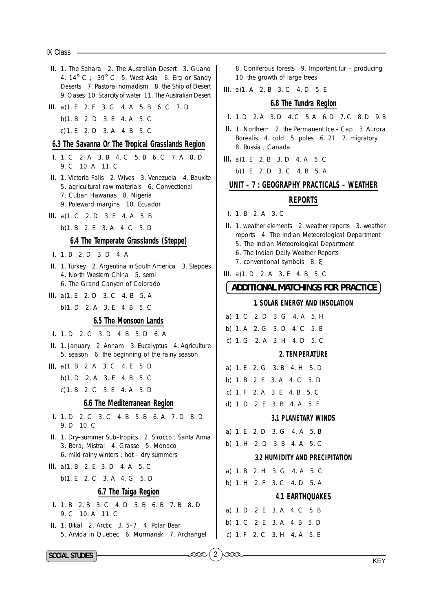$IX$  Class  $-$ 

II. 1. The Sahara 2. The Australian Desert 3. Guano 4. 14° C : 39° C 5. West Asia 6. Erg or Sandy Deserts 7. Pastoral nomadism 8. the Ship of Desert 9. Oases 10. Scarcity of water 11. The Australian Desert III. a) 1. E 2. F 3. G 4. A 5. B 6. C 7. D b) 1. B 2. D 3. E 4. A 5. C c) 1. E 2. D 3. A 4. B 5. C 6.3 The Savanna Or The Tropical Grasslands Region 1, 1, C 2, A 3, B 4, C 5, B 6, C 7, A 8, D 9. C 10. A 11. C II. 1. Victoria Falls 2. Wives 3. Venezuela 4. Bauxite 5. agricultural raw materials 6. Convectional 7. Cuban Hawanas 8. Nigeria 9. Poleward margins 10. Ecuador III. a) 1. C 2. D 3. E 4. A 5. B b) 1, B 2, E 3, A 4, C 5, D 6.4 The Temperate Grasslands (Steppe) **I.** 1. B 2. D 3. D 4. A II. 1. Turkey 2. Argentina in South America 3. Steppes 4. North Western China 5. semi 6. The Grand Canyon of Colorado III. a) 1. E 2. D 3. C 4. B 5. A b) 1, D 2, A 3, E 4, B 5, C 6.5 The Monsoon Lands I. 1. D 2. C 3. D 4. B 5. D 6. A II. 1. January 2. Annam 3. Eucalyptus 4. Agriculture 5. season 6. the beginning of the rainy season III. a) 1. B 2. A 3. C 4. E 5. D b) 1, D 2, A 3, E 4, B 5, C c) 1. B 2. C 3. E 4. A 5. D 6.6 The Mediterranean Region I. 1. D 2. C 3. C 4. B 5. B 6. A 7. D 8. D 9. D 10. C II. 1. Dry-summer Sub-tropics 2. Sirocco; Santa Anna 3. Bora; Mistral 4. Grasse 5. Monaco 6. mild rainy winters ; hot - dry summers III. a) 1. B 2. E 3. D 4. A 5. C b) 1. E 2. C 3. A 4. G 5. D 6.7 The Taiga Region **I.** 1. B 2. B 3. C 4. D 5. B 6. B 7. B 8. D 9. C 10. A 11. C II. 1. Bikal 2. Arctic 3. 5-7 4. Polar Bear 5. Arvida in Quebec 6. Murmansk 7. Archangel

8. Coniferous forests 9. Important fur - producing 10. the growth of large trees

III. a) 1. A 2. B 3. C 4. D 5. E

#### 6.8 The Tundra Region

- I. 1. D 2. A 3. D 4. C 5. A 6. D 7. C 8. D 9. B
- II. 1. Northern 2. the Permanent Ice Cap 3. Aurora Borealis 4. cold 5. poles 6. 21 7. migratory 8. Russia: Canada

III. a) 1. E 2. B 3. D 4. A 5. C

b) 1. E 2. D 3. C 4. B 5. A

#### UNIT – 7 : GEOGRAPHY PRACTICALS – WEATHER

#### **REPORTS**

- 1. 1. B  $2. A$  3. C
- II. 1. weather elements 2. weather reports 3. weather reports 4. The Indian Meteorological Department 5. The Indian Meteorological Department 6. The Indian Daily Weather Reports 7. conventional symbols 8. &
	-

III. a) 1. D 2. A 3. E 4. B 5. C

#### **ADDITIONAL MATCHINGS FOR PRACTICE**

#### **1. SOLAR ENERGY AND INSOLATION**

|  | a) 1. C 2. D 3. G 4. A 5. H |  |  |
|--|-----------------------------|--|--|
|  | b) 1. A 2. G 3. D 4. C 5. B |  |  |
|  | c) 1. G 2. A 3. H 4. D 5. C |  |  |

#### 2. TEMPERATURE

|  |  | a) 1. E 2. G 3. B 4. H 5. D |  |
|--|--|-----------------------------|--|
|  |  | o) 1. B 2. E 3. A 4. C 5. D |  |
|  |  | c) 1. F 2. A 3. E 4. B 5. C |  |
|  |  | d) 1. D 2. E 3. B 4. A 5. F |  |

#### **3.1 PLANETARY WINDS**

a) 1. E 2. D 3. G 4. A 5. B

b) 1. H 2. D 3. B 4. A 5. C

#### **3.2 HUMIDITY AND PRECIPITATION**

a) 1. B 2. H 3. G 4. A 5. C

b) 1. H 2. F 3. C 4. D 5. A

#### **4.1 EARTHOUAKES**

a) 1. D 2. E 3. A 4. C 5. B b) 1, C 2, E 3, A 4, B 5, D c) 1. F 2. C 3. H 4. A 5. E

**SOCIAL STUDIES**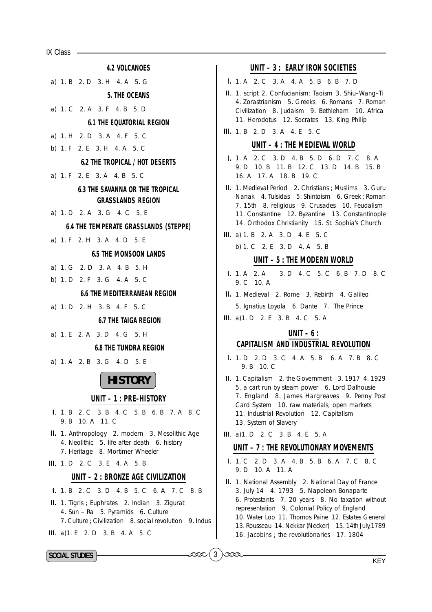$IX Class$   $-$ 

- **4.2 VOLCANOES** a) 1. B 2. D 3. H 4. A 5. G 5. THE OCEANS a) 1. C  $2 \text{ A}$  3. F 4. B 5. D **6.1 THE EQUATORIAL REGION** a) 1. H 2. D 3. A 4. F 5. C b) 1. F 2. E 3. H 4. A 5. C **6.2 THE TROPICAL / HOT DESERTS** a) 1. F 2. E 3. A 4. B 5. C **6.3 THE SAVANNA OR THE TROPICAL GRASSLANDS REGION** a) 1, D 2, A 3, G 4, C 5, E **6.4 THE TEMPERATE GRASSLANDS (STEPPE)** a) 1. F 2. H 3. A 4. D 5. E **6.5 THE MONSOON LANDS** a) 1. G 2. D 3. A 4. B 5. H b) 1. D 2. F 3. G 4. A 5. C **6.6 THE MEDITERRANEAN REGION** a) 1. D 2. H 3. B 4. F 5. C **6.7 THE TAIGA REGION** a) 1. E 2. A 3. D 4. G 5. H **6.8 THE TUNDRA REGION** a) 1. A 2. B 3. G 4. D 5. E **HISTORY** UNIT - 1 : PRE-HISTORY 1. 1. B 2. C 3. B 4. C 5. B 6. B 7. A 8. C 9. B 10. A 11. C II. 1. Anthropology 2. modern 3. Mesolithic Age 4. Neolithic 5. life after death 6. history 7. Heritage 8. Mortimer Wheeler III. 1. D 2. C 3. E 4. A 5. B UNIT - 2 : BRONZE AGE CIVILIZATION I. 1 B 2 C 3 D 4 B 5 C 6 A 7 C 8 B II. 1. Tigris ; Euphrates 2. Indian 3. Zigurat 4. Sun - Ra 5. Pyramids 6. Culture
	- 7. Culture: Civilization 8. social revolution 9. Indus
- III. a) 1. E 2. D 3. B 4. A 5. C

#### UNIT - 3 : EARLY IRON SOCIETIES

- I. 1. A 2. C 3. A 4. A 5. B 6. B 7. D
- II. 1. script 2. Confucianism: Taoism 3. Shiu-Wang-Ti 4. Zorastrianism 5. Greeks 6. Romans 7. Roman Civilization 8. Judaism 9. Bethleham 10. Africa 11. Herodotus 12. Socrates 13. King Philip
- **III.** 1. B 2. D 3. A 4. E 5. C

#### UNIT - 4 : THE MEDIEVAL WORLD

- I. 1. A 2. C 3. D 4. B 5. D 6. D 7. C 8. A 9. D 10. B 11. B 12. C 13. D 14. B 15. B 16. A 17. A 18. B 19. C
- II. 1. Medieval Period 2. Christians ; Muslims 3. Guru Nanak 4. Tulsidas 5. Shintoism 6. Greek; Roman 7. 15th 8. religious 9. Crusades 10. Feudalism 11. Constantine 12. Byzantine 13. Constantinople 14. Orthodox Christianity 15. St. Sophia's Church
- III. a) 1. B 2. A 3. D 4. E 5. C
	- b) 1. C 2. E 3. D 4. A 5. B

#### UNIT - 5 : THE MODERN WORLD

- $1. 1. A 2. A$ 3. D 4. C 5. C 6. B 7. D 8. C 9. C 10. A
- II. 1. Medieval 2. Rome 3. Rebirth 4. Galileo 5. Ignatius Loyola 6. Dante 7. The Prince
- III. a) 1. D 2. E 3. B 4. C 5. A

## UNIT  $-6$ : **CAPITALISM AND INDUSTRIAL REVOLUTION**

- 1. 1. D 2. D 3. C 4. A 5. B 6. A 7. B 8. C 9. B 10. C
- II. 1. Capitalism 2. the Government 3. 1917 4. 1929 5. a cart run by steam power 6. Lord Dalhousie 7. England 8. James Hargreaves 9. Penny Post Card System 10. raw materials; open markets 11. Industrial Revolution 12. Capitalism 13. System of Slavery
- III. a) 1. D 2. C 3. B 4. E 5. A

 $\overline{3}$ 

#### UNIT - 7 : THE REVOLUTIONARY MOVEMENTS

- I. 1. C 2. D 3. A 4. B 5. B 6. A 7. C 8. C 9. D 10. A 11. A
- II. 1. National Assembly 2. National Day of France 3. July 14 4. 1793 5. Napoleon Bonaparte 6. Protestants 7. 20 years 8. No taxation without representation 9. Colonial Policy of England 10. Water Loo 11. Thomos Paine 12. Estates General 13. Rousseau 14. Nekkar (Necker) 15. 14th July, 1789 16. Jacobins ; the revolutionaries 17. 1804

SOCIAL STUDIES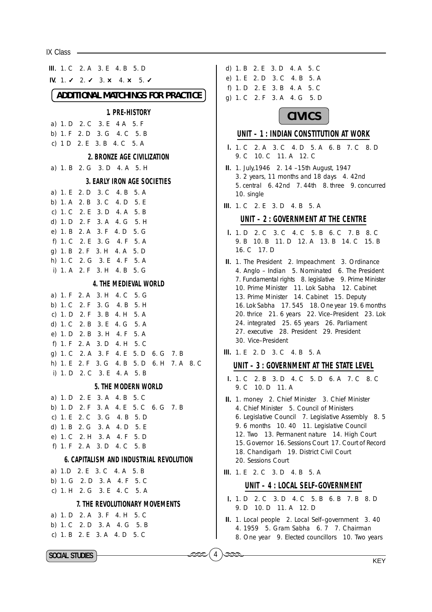$IX Class \_$ 

**III.** 1. C 2. A 3. E 4. B 5. D d) 1. B 2. E 3. D 4. A 5. C e) 1. E 2. D 3. C 4. B 5. A IV. 1.  $\sqrt{2}$ .  $\sqrt{3}$ .  $\times$  4.  $\times$  5.  $\sqrt{2}$ f) 1. D 2. E 3. B 4. A 5. C **ADDITIONAL MATCHINGS FOR PRACTICE** q) 1. C 2. F 3. A 4. G 5. D 1. PRE-HISTORY **CIVICS** a) 1. D 2. C 3. E 4 A 5. F b) 1. F 2. D 3. G 4. C 5. B UNIT - 1 : INDIAN CONSTITUTION AT WORK c)  $1 D$   $2 E$   $3 B$   $4 C$   $5 A$ I. 1. C 2. A 3. C 4. D 5. A 6. B 7. C 8. D 9. C 10. C 11. A 12. C 2. BRONZE AGE CIVILIZATION a) 1. B 2. G 3. D 4. A 5. H II. 1. July, 1946 2. 14 - 15th August, 1947 3. 2 years, 11 months and 18 days 4. 42nd 3. EARLY IRON AGE SOCIETIES 5. central 6. 42nd 7. 44th 8. three 9. concurred a) 1. E 2. D 3. C 4. B 5. A 10. single b) 1. A 2. B 3. C 4. D 5. E III. 1. C 2. E 3. D 4. B 5. A c) 1. C 2. E 3. D 4. A 5. B UNIT - 2 : GOVERNMENT AT THE CENTRE d) 1. D 2. F 3. A 4. G 5. H e) 1. B 2. A 3. F 4. D 5. G 1. 1. D 2. C 3. C 4. C 5. B 6. C 7. B 8. C 9. B 10. B 11. D 12. A 13. B 14. C 15. B f) 1. C 2. E 3. G 4. F 5. A 16. C 17. D q) 1. B 2. F 3. H 4. A 5. D h) 1. C 2. G 3. E 4. F 5. A II. 1. The President 2. Impeachment 3. Ordinance i) 1. A 2. F 3. H 4. B 5. G 4. Anglo - Indian 5. Nominated 6. The President 7. Fundamental rights 8. legislative 9. Prime Minister 4. THE MEDIFVAL WORLD 10. Prime Minister 11. Lok Sabha 12. Cabinet a) 1. F 2. A 3. H 4. C 5. G 13. Prime Minister 14. Cabinet 15. Deputy b) 1. C 2. F 3. G 4. B 5. H 16. Lok Sabha 17. 545 18. One year 19. 6 months 20. thrice 21. 6 years 22. Vice-President 23. Lok c) 1. D 2. F 3. B 4. H 5. A 24. integrated 25. 65 years 26. Parliament d) 1. C 2. B 3. E 4. G 5. A 27. executive 28. President 29. President e) 1. D 2. B 3. H 4. F 5. A 30. Vice-President f) 1. F 2. A 3. D 4. H 5. C III. 1. E 2. D 3. C 4. B 5. A q) 1. C 2. A 3. F 4. E 5. D 6. G 7. B h) 1. E 2. F 3. G 4. B 5. D 6. H 7. A 8. C UNIT - 3 : GOVERNMENT AT THE STATE LEVEL i) 1. D 2. C 3. E 4. A 5. B I. 1. C 2. B 3. D 4. C 5. D 6. A 7. C 8. C 5. THE MODERN WORLD 9. C 10. D 11. A a) 1. D 2. E 3. A 4. B 5. C II. 1. money 2. Chief Minister 3. Chief Minister b) 1. D 2. F 3. A 4. E 5. C 6. G 7. B 4. Chief Minister 5. Council of Ministers c) 1. E 2. C 3. G 4. B 5. D 6. Legislative Council 7. Legislative Assembly 8. 5 9. 6 months 10. 40 11. Legislative Council d) 1. B 2. G 3. A 4. D 5. E 12. Two 13. Permanent nature 14. High Court e) 1. C 2. H 3. A 4. F 5. D 15. Governor, 16. Sessions Court, 17. Court of Record f) 1. F 2. A 3. D 4. C 5. B 18. Chandigarh 19. District Civil Court **6. CAPITALISM AND INDUSTRIAL REVOLUTION** 20. Sessions Court a) 1.D 2. E 3. C 4. A 5. B III. 1. E 2. C 3. D 4. B 5. A b) 1. G 2. D 3. A 4. F 5. C UNIT - 4 : LOCAL SELF-GOVERNMENT c) 1. H 2. G 3. E 4. C 5. A I. 1. D 2. C 3. D 4. C 5. B 6. B 7. B 8. D 7. THE REVOLUTIONARY MOVEMENTS 9. D 10. D 11. A 12. D a) 1. D 2. A 3. F 4. H 5. C II. 1. Local people 2. Local Self-government 3. 40 b) 1. C 2. D 3. A 4. G 5. B 4. 1959 5. Gram Sabha 6. 7 7. Chairman c) 1. B 2. E 3. A 4. D 5. C 8. One year 9. Elected councillors 10. Two years SOCIAL STUDIES

**KEY**